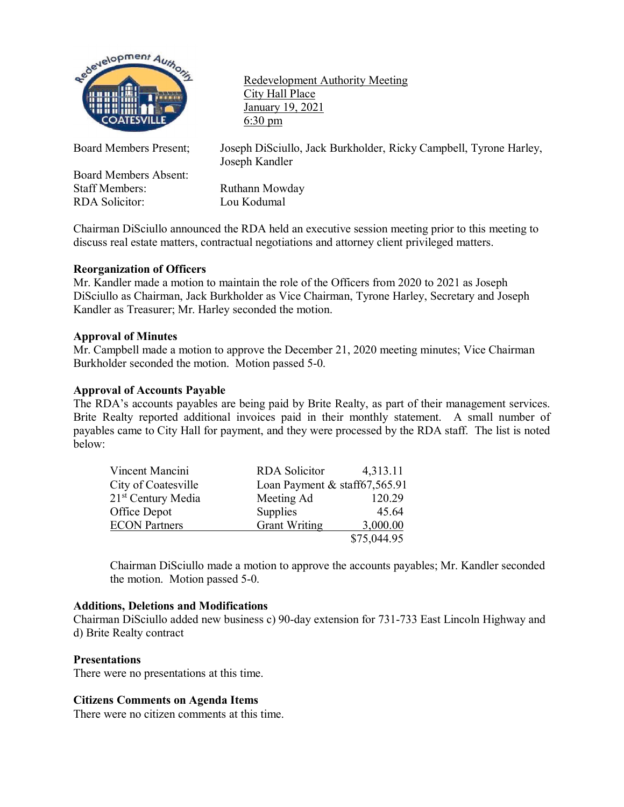

Redevelopment Authority Meeting City Hall Place January 19, 2021 6:30 pm

Board Members Absent:<br>Staff Members: RDA Solicitor: Lou Kodumal

Board Members Present; Joseph DiSciullo, Jack Burkholder, Ricky Campbell, Tyrone Harley, Joseph Kandler

Ruthann Mowday

Chairman DiSciullo announced the RDA held an executive session meeting prior to this meeting to discuss real estate matters, contractual negotiations and attorney client privileged matters.

# **Reorganization of Officers**

Mr. Kandler made a motion to maintain the role of the Officers from 2020 to 2021 as Joseph DiSciullo as Chairman, Jack Burkholder as Vice Chairman, Tyrone Harley, Secretary and Joseph Kandler as Treasurer; Mr. Harley seconded the motion.

## **Approval of Minutes**

Mr. Campbell made a motion to approve the December 21, 2020 meeting minutes; Vice Chairman Burkholder seconded the motion. Motion passed 5-0.

## **Approval of Accounts Payable**

The RDA's accounts payables are being paid by Brite Realty, as part of their management services. Brite Realty reported additional invoices paid in their monthly statement. A small number of payables came to City Hall for payment, and they were processed by the RDA staff. The list is noted below:

| Vincent Mancini                | <b>RDA</b> Solicitor          | 4,313.11    |
|--------------------------------|-------------------------------|-------------|
| City of Coatesville            | Loan Payment & staff67,565.91 |             |
| 21 <sup>st</sup> Century Media | Meeting Ad                    | 120.29      |
| Office Depot                   | <b>Supplies</b>               | 45.64       |
| <b>ECON Partners</b>           | <b>Grant Writing</b>          | 3,000.00    |
|                                |                               | \$75,044.95 |

Chairman DiSciullo made a motion to approve the accounts payables; Mr. Kandler seconded the motion. Motion passed 5-0.

### **Additions, Deletions and Modifications**

Chairman DiSciullo added new business c) 90-day extension for 731-733 East Lincoln Highway and d) Brite Realty contract

#### **Presentations**

There were no presentations at this time.

# **Citizens Comments on Agenda Items**

There were no citizen comments at this time.